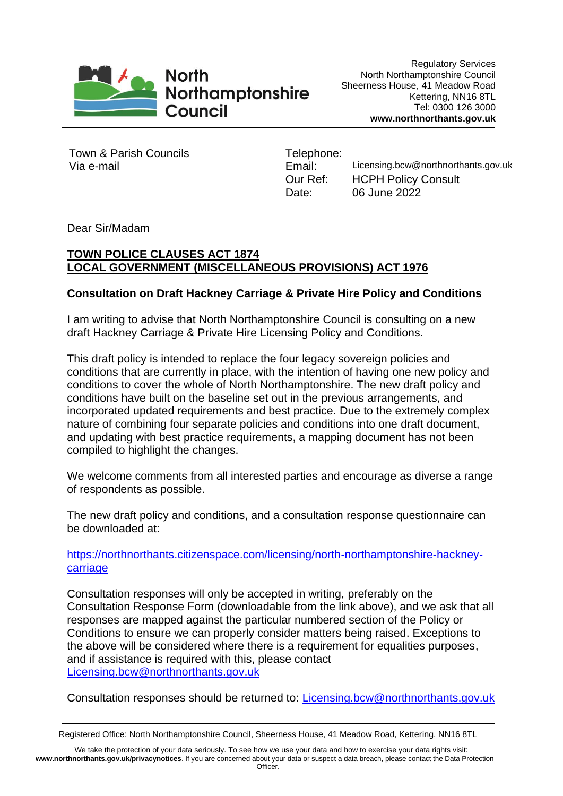

Town & Parish Councils Via e-mail

Telephone: Email: Licensing.bcw@northnorthants.gov.uk Our Ref: HCPH Policy Consult Date: 06 June 2022

Dear Sir/Madam

## **TOWN POLICE CLAUSES ACT 1874 LOCAL GOVERNMENT (MISCELLANEOUS PROVISIONS) ACT 1976**

## **Consultation on Draft Hackney Carriage & Private Hire Policy and Conditions**

I am writing to advise that North Northamptonshire Council is consulting on a new draft Hackney Carriage & Private Hire Licensing Policy and Conditions.

This draft policy is intended to replace the four legacy sovereign policies and conditions that are currently in place, with the intention of having one new policy and conditions to cover the whole of North Northamptonshire. The new draft policy and conditions have built on the baseline set out in the previous arrangements, and incorporated updated requirements and best practice. Due to the extremely complex nature of combining four separate policies and conditions into one draft document, and updating with best practice requirements, a mapping document has not been compiled to highlight the changes.

We welcome comments from all interested parties and encourage as diverse a range of respondents as possible.

The new draft policy and conditions, and a consultation response questionnaire can be downloaded at:

[https://northnorthants.citizenspace.com/licensing/north-northamptonshire-hackney](https://northnorthants.citizenspace.com/licensing/north-northamptonshire-hackney-carriage)[carriage](https://northnorthants.citizenspace.com/licensing/north-northamptonshire-hackney-carriage)

Consultation responses will only be accepted in writing, preferably on the Consultation Response Form (downloadable from the link above), and we ask that all responses are mapped against the particular numbered section of the Policy or Conditions to ensure we can properly consider matters being raised. Exceptions to the above will be considered where there is a requirement for equalities purposes, and if assistance is required with this, please contact [Licensing.bcw@northnorthants.gov.uk](mailto:Licensing.bcw@northnorthants.gov.uk)

Consultation responses should be returned to: [Licensing.bcw@northnorthants.gov.uk](mailto:Licensing.bcw@northnorthants.gov.uk)

We take the protection of your data seriously. To see how we use your data and how to exercise your data rights visit: **www.northnorthants.gov.uk/privacynotices**. If you are concerned about your data or suspect a data breach, please contact the Data Protection Officer.

Registered Office: North Northamptonshire Council, Sheerness House, 41 Meadow Road, Kettering, NN16 8TL